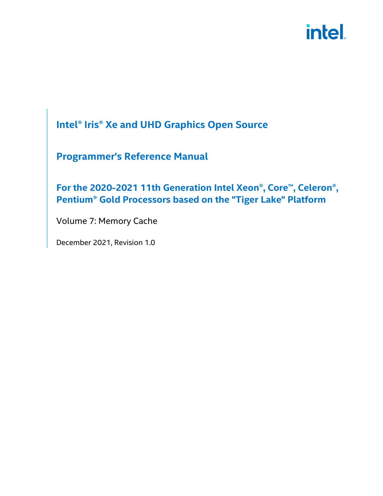### **Intel® Iris® Xe and UHD Graphics Open Source**

### **Programmer's Reference Manual**

**For the 2020-2021 11th Generation Intel Xeon®, Core™, Celeron®, Pentium® Gold Processors based on the "Tiger Lake" Platform** 

Volume 7: Memory Cache

December 2021, Revision 1.0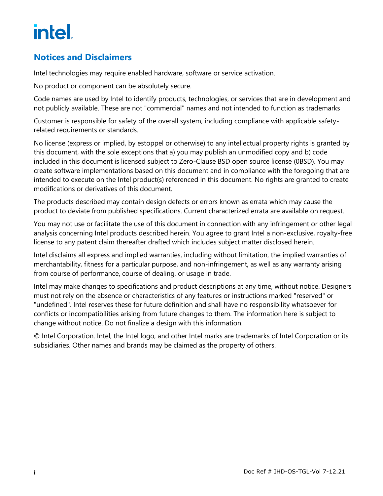### **Notices and Disclaimers**

Intel technologies may require enabled hardware, software or service activation.

No product or component can be absolutely secure.

Code names are used by Intel to identify products, technologies, or services that are in development and not publicly available. These are not "commercial" names and not intended to function as trademarks

Customer is responsible for safety of the overall system, including compliance with applicable safetyrelated requirements or standards.

No license (express or implied, by estoppel or otherwise) to any intellectual property rights is granted by this document, with the sole exceptions that a) you may publish an unmodified copy and b) code included in this document is licensed subject to Zero-Clause BSD open source license (0BSD). You may create software implementations based on this document and in compliance with the foregoing that are intended to execute on the Intel product(s) referenced in this document. No rights are granted to create modifications or derivatives of this document.

The products described may contain design defects or errors known as errata which may cause the product to deviate from published specifications. Current characterized errata are available on request.

You may not use or facilitate the use of this document in connection with any infringement or other legal analysis concerning Intel products described herein. You agree to grant Intel a non-exclusive, royalty-free license to any patent claim thereafter drafted which includes subject matter disclosed herein.

Intel disclaims all express and implied warranties, including without limitation, the implied warranties of merchantability, fitness for a particular purpose, and non-infringement, as well as any warranty arising from course of performance, course of dealing, or usage in trade.

Intel may make changes to specifications and product descriptions at any time, without notice. Designers must not rely on the absence or characteristics of any features or instructions marked "reserved" or "undefined". Intel reserves these for future definition and shall have no responsibility whatsoever for conflicts or incompatibilities arising from future changes to them. The information here is subject to change without notice. Do not finalize a design with this information.

© Intel Corporation. Intel, the Intel logo, and other Intel marks are trademarks of Intel Corporation or its subsidiaries. Other names and brands may be claimed as the property of others.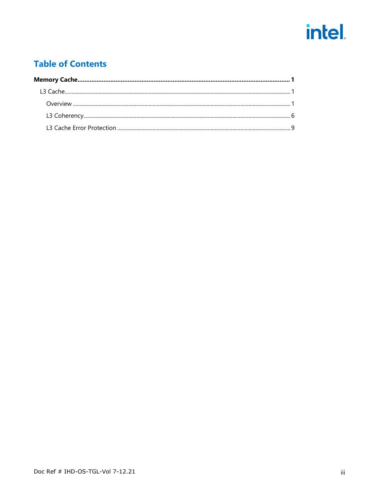## **Table of Contents**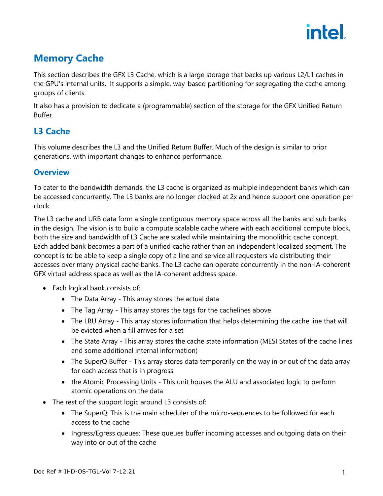

### <span id="page-4-0"></span>**Memory Cache**

This section describes the GFX L3 Cache, which is a large storage that backs up various L2/L1 caches in the GPU's internal units. It supports a simple, way-based partitioning for segregating the cache among groups of clients.

It also has a provision to dedicate a (programmable) section of the storage for the GFX Unified Return Buffer.

### <span id="page-4-1"></span>**L3 Cache**

This volume describes the L3 and the Unified Return Buffer. Much of the design is similar to prior generations, with important changes to enhance performance.

#### <span id="page-4-2"></span>**Overview**

To cater to the bandwidth demands, the L3 cache is organized as multiple independent banks which can be accessed concurrently. The L3 banks are no longer clocked at 2x and hence support one operation per clock.

The L3 cache and URB data form a single contiguous memory space across all the banks and sub banks in the design. The vision is to build a compute scalable cache where with each additional compute block, both the size and bandwidth of L3 Cache are scaled while maintaining the monolithic cache concept. Each added bank becomes a part of a unified cache rather than an independent localized segment. The concept is to be able to keep a single copy of a line and service all requesters via distributing their accesses over many physical cache banks. The L3 cache can operate concurrently in the non-IA-coherent GFX virtual address space as well as the IA-coherent address space.

- Each logical bank consists of:
	- The Data Array This array stores the actual data
	- The Tag Array This array stores the tags for the cachelines above
	- The LRU Array This array stores information that helps determining the cache line that will be evicted when a fill arrives for a set
	- The State Array This array stores the cache state information (MESI States of the cache lines and some additional internal information)
	- The SuperQ Buffer This array stores data temporarily on the way in or out of the data array for each access that is in progress
	- the Atomic Processing Units This unit houses the ALU and associated logic to perform atomic operations on the data
- The rest of the support logic around L3 consists of:
	- The SuperQ: This is the main scheduler of the micro-sequences to be followed for each access to the cache
	- Ingress/Egress queues: These queues buffer incoming accesses and outgoing data on their way into or out of the cache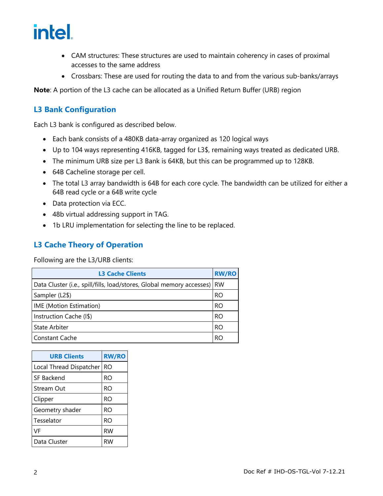- CAM structures: These structures are used to maintain coherency in cases of proximal accesses to the same address
- Crossbars: These are used for routing the data to and from the various sub-banks/arrays

**Note**: A portion of the L3 cache can be allocated as a Unified Return Buffer (URB) region

#### **L3 Bank Configuration**

Each L3 bank is configured as described below.

- Each bank consists of a 480KB data-array organized as 120 logical ways
- Up to 104 ways representing 416KB, tagged for L3\$, remaining ways treated as dedicated URB.
- The minimum URB size per L3 Bank is 64KB, but this can be programmed up to 128KB.
- 64B Cacheline storage per cell.
- The total L3 array bandwidth is 64B for each core cycle. The bandwidth can be utilized for either a 64B read cycle or a 64B write cycle
- Data protection via ECC.
- 48b virtual addressing support in TAG.
- 1b LRU implementation for selecting the line to be replaced.

#### **L3 Cache Theory of Operation**

Following are the L3/URB clients:

| <b>L3 Cache Clients</b>                                                    | <b>RW/RO</b> |
|----------------------------------------------------------------------------|--------------|
| Data Cluster (i.e., spill/fills, load/stores, Global memory accesses)   RW |              |
| Sampler (L2\$)                                                             | RO           |
| IME (Motion Estimation)                                                    | RO           |
| Instruction Cache (I\$)                                                    | RO           |
| <b>State Arbiter</b>                                                       | RO           |
| <b>Constant Cache</b>                                                      | RO           |

| <b>URB Clients</b>      | <b>RW/RO</b> |
|-------------------------|--------------|
| Local Thread Dispatcher | <b>RO</b>    |
| SF Backend              | RO           |
| Stream Out              | RO           |
| Clipper                 | <b>RO</b>    |
| Geometry shader         | RO           |
| Tesselator              | RO           |
| VF                      | <b>RW</b>    |
| Data Cluster            | RW           |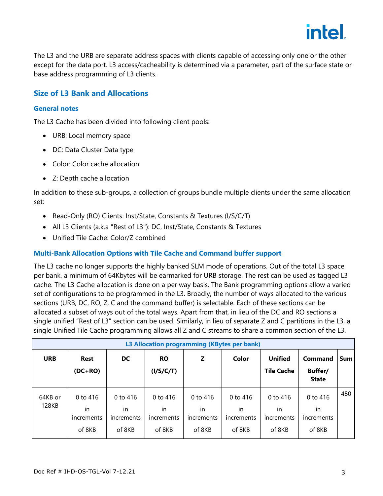

The L3 and the URB are separate address spaces with clients capable of accessing only one or the other except for the data port. L3 access/cacheability is determined via a parameter, part of the surface state or base address programming of L3 clients.

#### **Size of L3 Bank and Allocations**

#### **General notes**

The L3 Cache has been divided into following client pools:

- URB: Local memory space
- DC: Data Cluster Data type
- Color: Color cache allocation
- Z: Depth cache allocation

In addition to these sub-groups, a collection of groups bundle multiple clients under the same allocation set:

- Read-Only (RO) Clients: Inst/State, Constants & Textures (I/S/C/T)
- All L3 Clients (a.k.a "Rest of L3"): DC, Inst/State, Constants & Textures
- Unified Tile Cache: Color/Z combined

#### **Multi-Bank Allocation Options with Tile Cache and Command buffer support**

The L3 cache no longer supports the highly banked SLM mode of operations. Out of the total L3 space per bank, a minimum of 64Kbytes will be earmarked for URB storage. The rest can be used as tagged L3 cache. The L3 Cache allocation is done on a per way basis. The Bank programming options allow a varied set of configurations to be programmed in the L3. Broadly, the number of ways allocated to the various sections (URB, DC, RO, Z, C and the command buffer) is selectable. Each of these sections can be allocated a subset of ways out of the total ways. Apart from that, in lieu of the DC and RO sections a single unified "Rest of L3" section can be used. Similarly, in lieu of separate Z and C partitions in the L3, a single Unified Tile Cache programming allows all Z and C streams to share a common section of the L3.

| L3 Allocation programming (KBytes per bank) |                                          |                                        |                                          |                                        |                                          |                                        |                                          |            |  |
|---------------------------------------------|------------------------------------------|----------------------------------------|------------------------------------------|----------------------------------------|------------------------------------------|----------------------------------------|------------------------------------------|------------|--|
| <b>URB</b>                                  | <b>Rest</b><br>$(DC+RO)$                 | <b>DC</b>                              | <b>RO</b><br>(1/S/C/T)                   | z                                      | Color                                    | <b>Unified</b><br><b>Tile Cache</b>    | Command<br>Buffer/<br><b>State</b>       | <b>Sum</b> |  |
| 64KB or<br>128KB                            | 0 to $416$<br>in<br>increments<br>of 8KB | 0 to 416<br>in<br>increments<br>of 8KB | 0 to $416$<br>in<br>increments<br>of 8KB | 0 to 416<br>in<br>increments<br>of 8KB | 0 to $416$<br>in<br>increments<br>of 8KB | 0 to 416<br>in<br>increments<br>of 8KB | $0$ to 416<br>in<br>increments<br>of 8KB | 480        |  |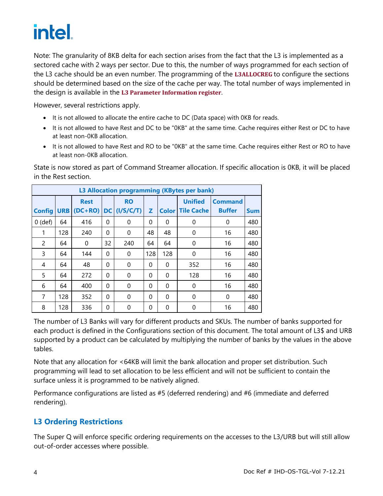Note: The granularity of 8KB delta for each section arises from the fact that the L3 is implemented as a sectored cache with 2 ways per sector. Due to this, the number of ways programmed for each section of the L3 cache should be an even number. The programming of the **L3ALLOCREG** to configure the sections should be determined based on the size of the cache per way. The total number of ways implemented in the design is available in the **L3 Parameter Information register**.

However, several restrictions apply.

- It is not allowed to allocate the entire cache to DC (Data space) with 0KB for reads.
- It is not allowed to have Rest and DC to be "0KB" at the same time. Cache requires either Rest or DC to have at least non-0KB allocation.
- It is not allowed to have Rest and RO to be "0KB" at the same time. Cache requires either Rest or RO to have at least non-0KB allocation.

State is now stored as part of Command Streamer allocation. If specific allocation is 0KB, it will be placed in the Rest section.

| L3 Allocation programming (KBytes per bank) |            |                          |          |                                  |          |     |                                           |                                 |            |  |
|---------------------------------------------|------------|--------------------------|----------|----------------------------------|----------|-----|-------------------------------------------|---------------------------------|------------|--|
| <b>Config</b>                               | <b>URB</b> | <b>Rest</b><br>$(DC+RO)$ |          | <b>RO</b><br><b>DC</b> (I/S/C/T) | z        |     | <b>Unified</b><br><b>Color Tile Cache</b> | <b>Command</b><br><b>Buffer</b> | <b>Sum</b> |  |
| $0$ (def)                                   | 64         | 416                      | 0        | 0                                | $\Omega$ | 0   | 0                                         | 0                               | 480        |  |
| 1                                           | 128        | 240                      | $\Omega$ | 0                                | 48       | 48  | 0                                         | 16                              | 480        |  |
| $\mathcal{P}$                               | 64         | 0                        | 32       | 240                              | 64       | 64  | 0                                         | 16                              | 480        |  |
| 3                                           | 64         | 144                      | $\Omega$ | 0                                | 128      | 128 | 0                                         | 16                              | 480        |  |
| 4                                           | 64         | 48                       | 0        | 0                                | $\Omega$ | 0   | 352                                       | 16                              | 480        |  |
| 5                                           | 64         | 272                      | 0        | $\mathbf{0}$                     | $\Omega$ | 0   | 128                                       | 16                              | 480        |  |
| 6                                           | 64         | 400                      | $\Omega$ | $\mathbf{0}$                     | 0        | 0   | 0                                         | 16                              | 480        |  |
| 7                                           | 128        | 352                      | 0        | 0                                | 0        | 0   | 0                                         | 0                               | 480        |  |
| 8                                           | 128        | 336                      | 0        | 0                                | 0        | 0   | 0                                         | 16                              | 480        |  |

The number of L3 Banks will vary for different products and SKUs. The number of banks supported for each product is defined in the Configurations section of this document. The total amount of L3\$ and URB supported by a product can be calculated by multiplying the number of banks by the values in the above tables.

Note that any allocation for <64KB will limit the bank allocation and proper set distribution. Such programming will lead to set allocation to be less efficient and will not be sufficient to contain the surface unless it is programmed to be natively aligned.

Performance configurations are listed as #5 (deferred rendering) and #6 (immediate and deferred rendering).

#### **L3 Ordering Restrictions**

The Super Q will enforce specific ordering requirements on the accesses to the L3/URB but will still allow out-of-order accesses where possible.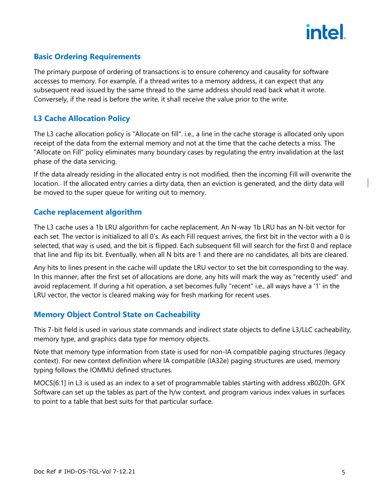

#### **Basic Ordering Requirements**

The primary purpose of ordering of transactions is to ensure coherency and causality for software accesses to memory. For example, if a thread writes to a memory address, it can expect that any subsequent read issued by the same thread to the same address should read back what it wrote. Conversely, if the read is before the write, it shall receive the value prior to the write.

#### **L3 Cache Allocation Policy**

The L3 cache allocation policy is "Allocate on fill". i.e., a line in the cache storage is allocated only upon receipt of the data from the external memory and not at the time that the cache detects a miss. The "Allocate on Fill" policy eliminates many boundary cases by regulating the entry invalidation at the last phase of the data servicing.

If the data already residing in the allocated entry is not modified, then the incoming Fill will overwrite the location. If the allocated entry carries a dirty data, then an eviction is generated, and the dirty data will be moved to the super queue for writing out to memory.

#### **Cache replacement algorithm**

The L3 cache uses a 1b LRU algorithm for cache replacement. An N-way 1b LRU has an N-bit vector for each set. The vector is initialized to all 0's. As each Fill request arrives, the first bit in the vector with a 0 is selected, that way is used, and the bit is flipped. Each subsequent fill will search for the first 0 and replace that line and flip its bit. Eventually, when all N bits are 1 and there are no candidates, all bits are cleared.

Any hits to lines present in the cache will update the LRU vector to set the bit corresponding to the way. In this manner, after the first set of allocations are done, any hits will mark the way as "recently used" and avoid replacement. If during a hit operation, a set becomes fully "recent" i.e., all ways have a '1' in the LRU vector, the vector is cleared making way for fresh marking for recent uses.

#### **Memory Object Control State on Cacheability**

This 7-bit field is used in various state commands and indirect state objects to define L3/LLC cacheability, memory type, and graphics data type for memory objects.

Note that memory type information from state is used for non-IA compatible paging structures (legacy context). For new context definition where IA compatible (IA32e) paging structures are used, memory typing follows the IOMMU defined structures.

MOCS[6:1] in L3 is used as an index to a set of programmable tables starting with address xB020h. GFX Software can set up the tables as part of the h/w context, and program various index values in surfaces to point to a table that best suits for that particular surface.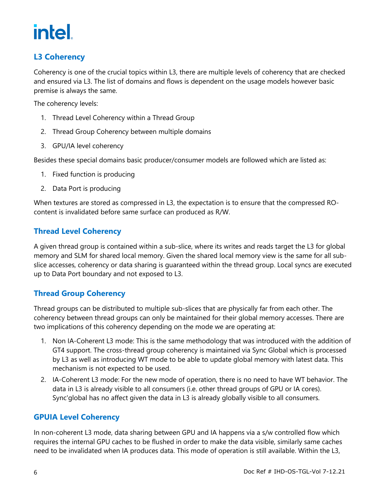### <span id="page-9-0"></span>**L3 Coherency**

Coherency is one of the crucial topics within L3, there are multiple levels of coherency that are checked and ensured via L3. The list of domains and flows is dependent on the usage models however basic premise is always the same.

The coherency levels:

- 1. Thread Level Coherency within a Thread Group
- 2. Thread Group Coherency between multiple domains
- 3. GPU/IA level coherency

Besides these special domains basic producer/consumer models are followed which are listed as:

- 1. Fixed function is producing
- 2. Data Port is producing

When textures are stored as compressed in L3, the expectation is to ensure that the compressed ROcontent is invalidated before same surface can produced as R/W.

#### **Thread Level Coherency**

A given thread group is contained within a sub-slice, where its writes and reads target the L3 for global memory and SLM for shared local memory. Given the shared local memory view is the same for all subslice accesses, coherency or data sharing is guaranteed within the thread group. Local syncs are executed up to Data Port boundary and not exposed to L3.

#### **Thread Group Coherency**

Thread groups can be distributed to multiple sub-slices that are physically far from each other. The coherency between thread groups can only be maintained for their global memory accesses. There are two implications of this coherency depending on the mode we are operating at:

- 1. Non IA-Coherent L3 mode: This is the same methodology that was introduced with the addition of GT4 support. The cross-thread group coherency is maintained via Sync Global which is processed by L3 as well as introducing WT mode to be able to update global memory with latest data. This mechanism is not expected to be used.
- 2. IA-Coherent L3 mode: For the new mode of operation, there is no need to have WT behavior. The data in L3 is already visible to all consumers (i.e. other thread groups of GPU or IA cores). Sync'global has no affect given the data in L3 is already globally visible to all consumers.

#### **GPUIA Level Coherency**

In non-coherent L3 mode, data sharing between GPU and IA happens via a s/w controlled flow which requires the internal GPU caches to be flushed in order to make the data visible, similarly same caches need to be invalidated when IA produces data. This mode of operation is still available. Within the L3,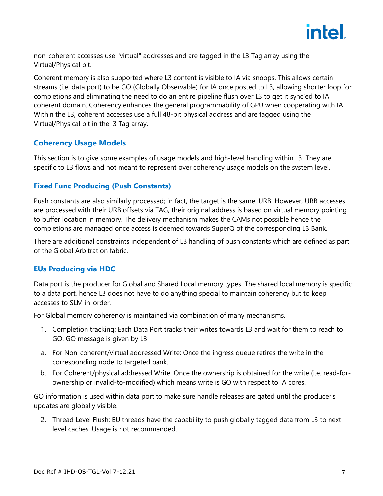

non-coherent accesses use "virtual" addresses and are tagged in the L3 Tag array using the Virtual/Physical bit.

Coherent memory is also supported where L3 content is visible to IA via snoops. This allows certain streams (i.e. data port) to be GO (Globally Observable) for IA once posted to L3, allowing shorter loop for completions and eliminating the need to do an entire pipeline flush over L3 to get it sync'ed to IA coherent domain. Coherency enhances the general programmability of GPU when cooperating with IA. Within the L3, coherent accesses use a full 48-bit physical address and are tagged using the Virtual/Physical bit in the l3 Tag array.

#### **Coherency Usage Models**

This section is to give some examples of usage models and high-level handling within L3. They are specific to L3 flows and not meant to represent over coherency usage models on the system level.

#### **Fixed Func Producing (Push Constants)**

Push constants are also similarly processed; in fact, the target is the same: URB. However, URB accesses are processed with their URB offsets via TAG, their original address is based on virtual memory pointing to buffer location in memory. The delivery mechanism makes the CAMs not possible hence the completions are managed once access is deemed towards SuperQ of the corresponding L3 Bank.

There are additional constraints independent of L3 handling of push constants which are defined as part of the Global Arbitration fabric.

#### **EUs Producing via HDC**

Data port is the producer for Global and Shared Local memory types. The shared local memory is specific to a data port, hence L3 does not have to do anything special to maintain coherency but to keep accesses to SLM in-order.

For Global memory coherency is maintained via combination of many mechanisms.

- 1. Completion tracking: Each Data Port tracks their writes towards L3 and wait for them to reach to GO. GO message is given by L3
- a. For Non-coherent/virtual addressed Write: Once the ingress queue retires the write in the corresponding node to targeted bank.
- b. For Coherent/physical addressed Write: Once the ownership is obtained for the write (i.e. read-forownership or invalid-to-modified) which means write is GO with respect to IA cores.

GO information is used within data port to make sure handle releases are gated until the producer's updates are globally visible.

2. Thread Level Flush: EU threads have the capability to push globally tagged data from L3 to next level caches. Usage is not recommended.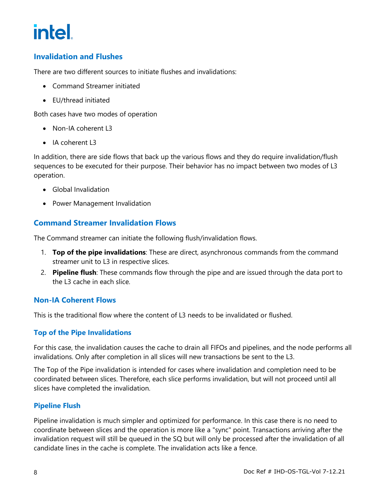### **Invalidation and Flushes**

There are two different sources to initiate flushes and invalidations:

- Command Streamer initiated
- EU/thread initiated

Both cases have two modes of operation

- Non-IA coherent L3
- IA coherent L3

In addition, there are side flows that back up the various flows and they do require invalidation/flush sequences to be executed for their purpose. Their behavior has no impact between two modes of L3 operation.

- Global Invalidation
- Power Management Invalidation

#### **Command Streamer Invalidation Flows**

The Command streamer can initiate the following flush/invalidation flows.

- 1. **Top of the pipe invalidations**: These are direct, asynchronous commands from the command streamer unit to L3 in respective slices.
- 2. **Pipeline flush**: These commands flow through the pipe and are issued through the data port to the L3 cache in each slice.

#### **Non-IA Coherent Flows**

This is the traditional flow where the content of L3 needs to be invalidated or flushed.

#### **Top of the Pipe Invalidations**

For this case, the invalidation causes the cache to drain all FIFOs and pipelines, and the node performs all invalidations. Only after completion in all slices will new transactions be sent to the L3.

The Top of the Pipe invalidation is intended for cases where invalidation and completion need to be coordinated between slices. Therefore, each slice performs invalidation, but will not proceed until all slices have completed the invalidation.

#### **Pipeline Flush**

Pipeline invalidation is much simpler and optimized for performance. In this case there is no need to coordinate between slices and the operation is more like a "sync" point. Transactions arriving after the invalidation request will still be queued in the SQ but will only be processed after the invalidation of all candidate lines in the cache is complete. The invalidation acts like a fence.